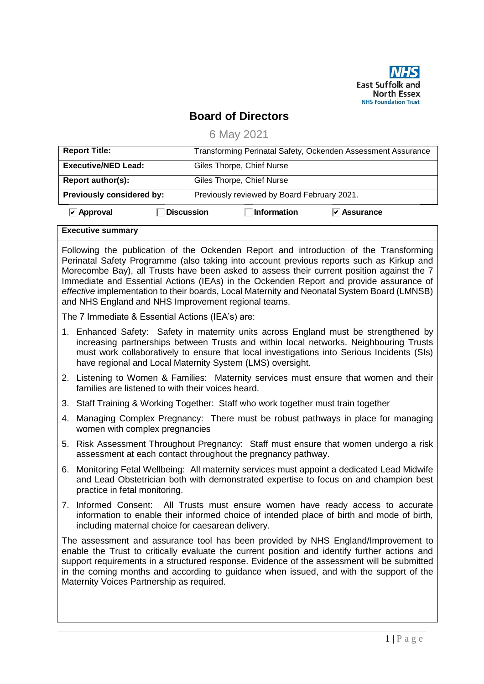

## **Board of Directors**

6 May 2021

| <b>Report Title:</b>             | Transforming Perinatal Safety, Ockenden Assessment Assurance |  |  |
|----------------------------------|--------------------------------------------------------------|--|--|
| <b>Executive/NED Lead:</b>       | Giles Thorpe, Chief Nurse                                    |  |  |
| Report author(s):                | Giles Thorpe, Chief Nurse                                    |  |  |
| <b>Previously considered by:</b> | Previously reviewed by Board February 2021.                  |  |  |
| <b>Discussion</b><br>Approval    | <b>Information</b><br>$\triangledown$ Assurance              |  |  |

## **Executive summary**

Following the publication of the Ockenden Report and introduction of the Transforming Perinatal Safety Programme (also taking into account previous reports such as Kirkup and Morecombe Bay), all Trusts have been asked to assess their current position against the 7 Immediate and Essential Actions (IEAs) in the Ockenden Report and provide assurance of *effective* implementation to their boards, Local Maternity and Neonatal System Board (LMNSB) and NHS England and NHS Improvement regional teams.

The 7 Immediate & Essential Actions (IEA's) are:

- 1. Enhanced Safety: Safety in maternity units across England must be strengthened by increasing partnerships between Trusts and within local networks. Neighbouring Trusts must work collaboratively to ensure that local investigations into Serious Incidents (SIs) have regional and Local Maternity System (LMS) oversight.
- 2. Listening to Women & Families: Maternity services must ensure that women and their families are listened to with their voices heard.
- 3. Staff Training & Working Together: Staff who work together must train together
- 4. Managing Complex Pregnancy: There must be robust pathways in place for managing women with complex pregnancies
- 5. Risk Assessment Throughout Pregnancy: Staff must ensure that women undergo a risk assessment at each contact throughout the pregnancy pathway.
- 6. Monitoring Fetal Wellbeing: All maternity services must appoint a dedicated Lead Midwife and Lead Obstetrician both with demonstrated expertise to focus on and champion best practice in fetal monitoring.
- 7. Informed Consent: All Trusts must ensure women have ready access to accurate information to enable their informed choice of intended place of birth and mode of birth, including maternal choice for caesarean delivery.

The assessment and assurance tool has been provided by NHS England/Improvement to enable the Trust to critically evaluate the current position and identify further actions and support requirements in a structured response. Evidence of the assessment will be submitted in the coming months and according to guidance when issued, and with the support of the Maternity Voices Partnership as required.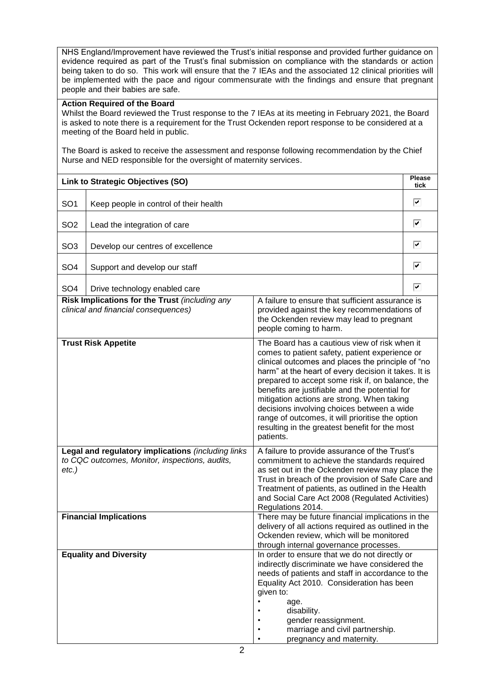NHS England/Improvement have reviewed the Trust's initial response and provided further guidance on evidence required as part of the Trust's final submission on compliance with the standards or action being taken to do so. This work will ensure that the 7 IEAs and the associated 12 clinical priorities will be implemented with the pace and rigour commensurate with the findings and ensure that pregnant people and their babies are safe.

## **Action Required of the Board**

Whilst the Board reviewed the Trust response to the 7 IEAs at its meeting in February 2021, the Board is asked to note there is a requirement for the Trust Ockenden report response to be considered at a meeting of the Board held in public.

The Board is asked to receive the assessment and response following recommendation by the Chief Nurse and NED responsible for the oversight of maternity services.

|                                                                                                                  | Link to Strategic Objectives (SO)                                                      |                                                                                                                                                                                                                                                                                                                                                                                                                                                                                                                                   | Please<br>tick |
|------------------------------------------------------------------------------------------------------------------|----------------------------------------------------------------------------------------|-----------------------------------------------------------------------------------------------------------------------------------------------------------------------------------------------------------------------------------------------------------------------------------------------------------------------------------------------------------------------------------------------------------------------------------------------------------------------------------------------------------------------------------|----------------|
| SO <sub>1</sub>                                                                                                  | Keep people in control of their health                                                 |                                                                                                                                                                                                                                                                                                                                                                                                                                                                                                                                   | ⊽              |
| SO <sub>2</sub><br>Lead the integration of care                                                                  |                                                                                        |                                                                                                                                                                                                                                                                                                                                                                                                                                                                                                                                   | ⊽              |
| SO <sub>3</sub>                                                                                                  | Develop our centres of excellence                                                      |                                                                                                                                                                                                                                                                                                                                                                                                                                                                                                                                   | ⊽              |
| SO <sub>4</sub>                                                                                                  | Support and develop our staff                                                          |                                                                                                                                                                                                                                                                                                                                                                                                                                                                                                                                   | ⊽              |
| SO <sub>4</sub>                                                                                                  | Drive technology enabled care                                                          |                                                                                                                                                                                                                                                                                                                                                                                                                                                                                                                                   | ⊽              |
|                                                                                                                  | Risk Implications for the Trust (including any<br>clinical and financial consequences) | A failure to ensure that sufficient assurance is<br>provided against the key recommendations of<br>the Ockenden review may lead to pregnant<br>people coming to harm.                                                                                                                                                                                                                                                                                                                                                             |                |
|                                                                                                                  | <b>Trust Risk Appetite</b>                                                             | The Board has a cautious view of risk when it<br>comes to patient safety, patient experience or<br>clinical outcomes and places the principle of "no<br>harm" at the heart of every decision it takes. It is<br>prepared to accept some risk if, on balance, the<br>benefits are justifiable and the potential for<br>mitigation actions are strong. When taking<br>decisions involving choices between a wide<br>range of outcomes, it will prioritise the option<br>resulting in the greatest benefit for the most<br>patients. |                |
| Legal and regulatory implications (including links<br>to CQC outcomes, Monitor, inspections, audits,<br>$etc.$ ) |                                                                                        | A failure to provide assurance of the Trust's<br>commitment to achieve the standards required<br>as set out in the Ockenden review may place the<br>Trust in breach of the provision of Safe Care and<br>Treatment of patients, as outlined in the Health<br>and Social Care Act 2008 (Regulated Activities)<br>Regulations 2014.                                                                                                                                                                                                 |                |
|                                                                                                                  | <b>Financial Implications</b>                                                          | There may be future financial implications in the<br>delivery of all actions required as outlined in the<br>Ockenden review, which will be monitored<br>through internal governance processes.                                                                                                                                                                                                                                                                                                                                    |                |
|                                                                                                                  | <b>Equality and Diversity</b>                                                          | In order to ensure that we do not directly or<br>indirectly discriminate we have considered the<br>needs of patients and staff in accordance to the<br>Equality Act 2010. Consideration has been<br>given to:<br>age.<br>disability.<br>gender reassignment.<br>marriage and civil partnership.<br>pregnancy and maternity.                                                                                                                                                                                                       |                |